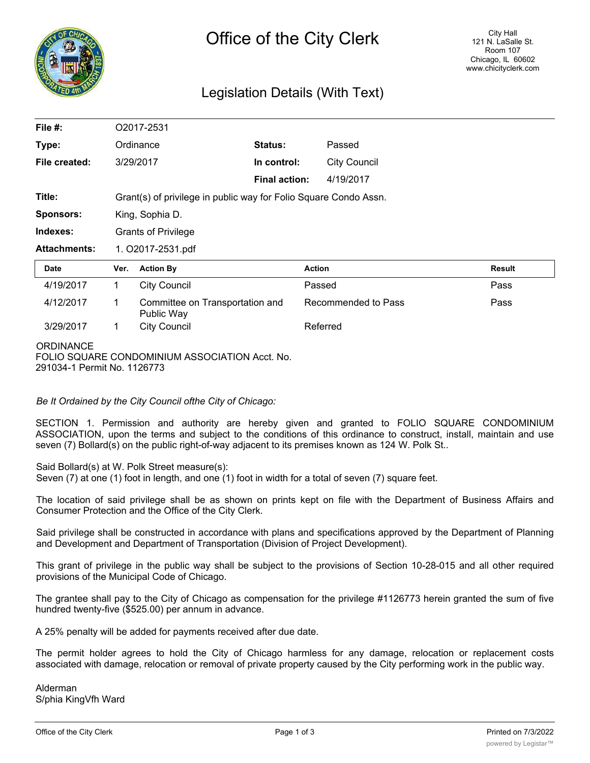

## Legislation Details (With Text)

| File #:             | O2017-2531                                                       |                                               |                      |                     |               |
|---------------------|------------------------------------------------------------------|-----------------------------------------------|----------------------|---------------------|---------------|
| Type:               |                                                                  | Ordinance                                     | Status:              | Passed              |               |
| File created:       | 3/29/2017                                                        |                                               | In control:          | <b>City Council</b> |               |
|                     |                                                                  |                                               | <b>Final action:</b> | 4/19/2017           |               |
| Title:              | Grant(s) of privilege in public way for Folio Square Condo Assn. |                                               |                      |                     |               |
| <b>Sponsors:</b>    | King, Sophia D.                                                  |                                               |                      |                     |               |
| Indexes:            | <b>Grants of Privilege</b>                                       |                                               |                      |                     |               |
| <b>Attachments:</b> | 1. O2017-2531.pdf                                                |                                               |                      |                     |               |
| <b>Date</b>         | Ver.                                                             | <b>Action By</b>                              |                      | <b>Action</b>       | <b>Result</b> |
| 4/19/2017           | 1                                                                | <b>City Council</b>                           |                      | Passed              | Pass          |
| 4/12/2017           | 1                                                                | Committee on Transportation and<br>Public Way |                      | Recommended to Pass | Pass          |
| 3/29/2017           | 1                                                                | <b>City Council</b>                           |                      | Referred            |               |
| <b>ODDINIANCE</b>   |                                                                  |                                               |                      |                     |               |

**ORDINANCE** FOLIO SQUARE CONDOMINIUM ASSOCIATION Acct. No. 291034-1 Permit No. 1126773

*Be It Ordained by the City Council ofthe City of Chicago:*

SECTION 1. Permission and authority are hereby given and granted to FOLIO SQUARE CONDOMINIUM ASSOCIATION, upon the terms and subject to the conditions of this ordinance to construct, install, maintain and use seven (7) Bollard(s) on the public right-of-way adjacent to its premises known as 124 W. Polk St..

Said Bollard(s) at W. Polk Street measure(s):

Seven (7) at one (1) foot in length, and one (1) foot in width for a total of seven (7) square feet.

The location of said privilege shall be as shown on prints kept on file with the Department of Business Affairs and Consumer Protection and the Office of the City Clerk.

Said privilege shall be constructed in accordance with plans and specifications approved by the Department of Planning and Development and Department of Transportation (Division of Project Development).

This grant of privilege in the public way shall be subject to the provisions of Section 10-28-015 and all other required provisions of the Municipal Code of Chicago.

The grantee shall pay to the City of Chicago as compensation for the privilege #1126773 herein granted the sum of five hundred twenty-five (\$525.00) per annum in advance.

A 25% penalty will be added for payments received after due date.

The permit holder agrees to hold the City of Chicago harmless for any damage, relocation or replacement costs associated with damage, relocation or removal of private property caused by the City performing work in the public way.

Alderman S/phia KingVfh Ward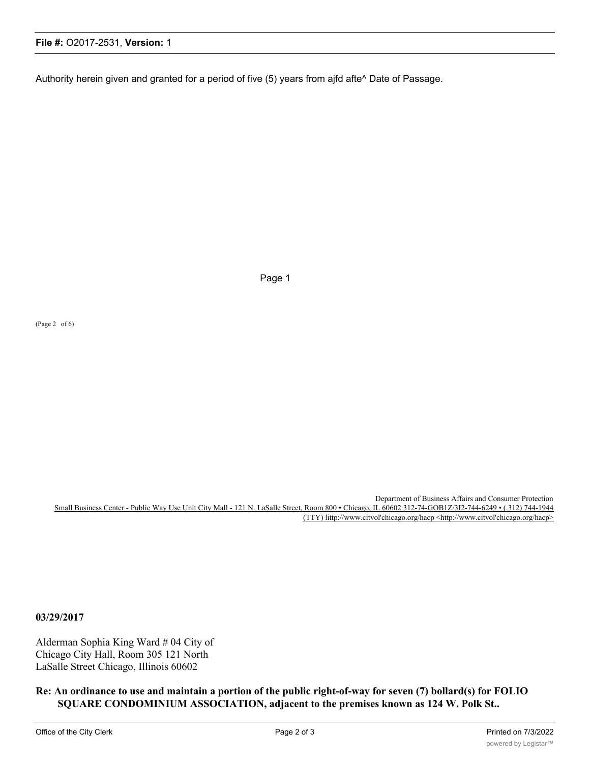## **File #:** O2017-2531, **Version:** 1

Authority herein given and granted for a period of five (5) years from ajfd afte^ Date of Passage.

Page 1

(Page 2 of 6)

Department of Business Affairs and Consumer Protection Small Business Center - Public Way Use Unit City Mall - 121 N. LaSalle Street, Room 800 • Chicago, IL 60602 312-74-GOB1Z/3I2-744-6249 • (.312) 744-1944 (TTY) littp://www.citvol'chicago.org/hacp <http://www.citvol'chicago.org/hacp>

**03/29/2017**

Alderman Sophia King Ward # 04 City of Chicago City Hall, Room 305 121 North LaSalle Street Chicago, Illinois 60602

**Re: An ordinance to use and maintain a portion of the public right-of-way for seven (7) bollard(s) for FOLIO SQUARE CONDOMINIUM ASSOCIATION, adjacent to the premises known as 124 W. Polk St..**